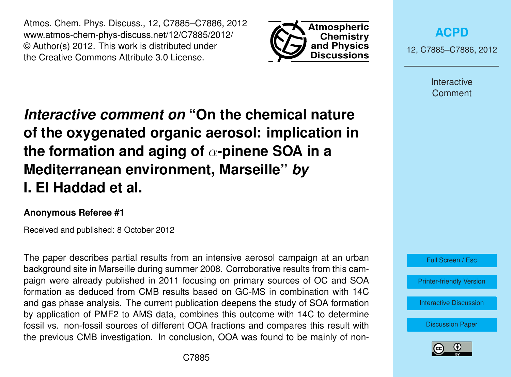Atmos. Chem. Phys. Discuss., 12, C7885–C7886, 2012 www.atmos-chem-phys-discuss.net/12/C7885/2012/ © Author(s) 2012. This work is distributed under the Creative Commons Attribute 3.0 License.



**[ACPD](http://www.atmos-chem-phys-discuss.net)**

12, C7885–C7886, 2012

Interactive Comment

## *Interactive comment on* **"On the chemical nature of the oxygenated organic aerosol: implication in the formation and aging of** α**-pinene SOA in a Mediterranean environment, Marseille"** *by* **I. El Haddad et al.**

## **Anonymous Referee #1**

Received and published: 8 October 2012

The paper describes partial results from an intensive aerosol campaign at an urban background site in Marseille during summer 2008. Corroborative results from this campaign were already published in 2011 focusing on primary sources of OC and SOA formation as deduced from CMB results based on GC-MS in combination with 14C and gas phase analysis. The current publication deepens the study of SOA formation by application of PMF2 to AMS data, combines this outcome with 14C to determine fossil vs. non-fossil sources of different OOA fractions and compares this result with the previous CMB investigation. In conclusion, OOA was found to be mainly of non-